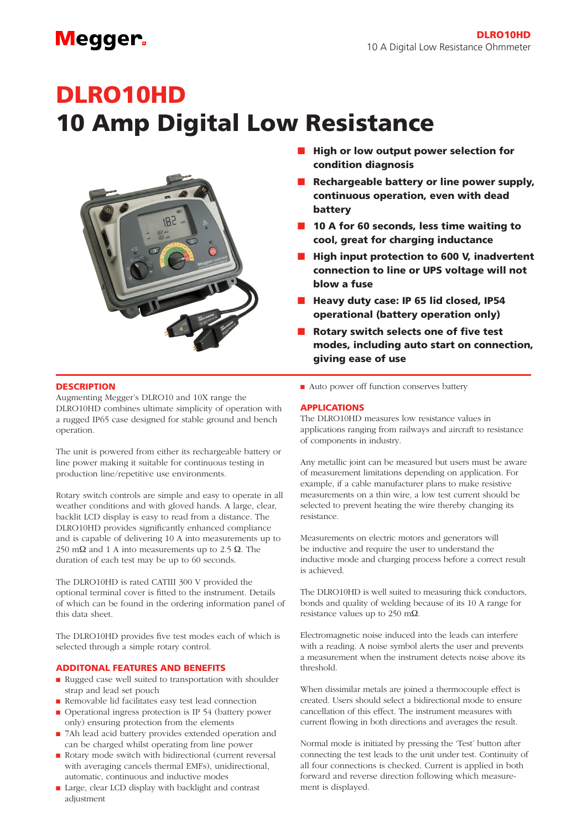### **Megger**

# DLRO10HD 10 Amp Digital Low Resistance



#### **DESCRIPTION**

Augmenting Megger's DLRO10 and 10X range the DLRO10HD combines ultimate simplicity of operation with a rugged IP65 case designed for stable ground and bench operation.

The unit is powered from either its rechargeable battery or line power making it suitable for continuous testing in production line/repetitive use environments.

Rotary switch controls are simple and easy to operate in all weather conditions and with gloved hands. A large, clear, backlit LCD display is easy to read from a distance. The DLRO10HD provides significantly enhanced compliance and is capable of delivering 10 A into measurements up to 250 mΩ and 1 A into measurements up to 2.5  $Ω$ . The duration of each test may be up to 60 seconds.

The DLRO10HD is rated CATIII 300 V provided the optional terminal cover is fitted to the instrument. Details of which can be found in the ordering information panel of this data sheet.

The DLRO10HD provides five test modes each of which is selected through a simple rotary control.

#### ADDITONAL FEATURES AND BENEFITS

- <sup>n</sup> Rugged case well suited to transportation with shoulder strap and lead set pouch
- <sup>n</sup> Removable lid facilitates easy test lead connection
- Operational ingress protection is IP 54 (battery power only) ensuring protection from the elements
- 7Ah lead acid battery provides extended operation and can be charged whilst operating from line power
- <sup>n</sup> Rotary mode switch with bidirectional (current reversal with averaging cancels thermal EMFs), unidirectional, automatic, continuous and inductive modes
- Large, clear LCD display with backlight and contrast adjustment
- **n** High or low output power selection for condition diagnosis
- $\blacksquare$  Rechargeable battery or line power supply, continuous operation, even with dead battery
- $\blacksquare$  10 A for 60 seconds, less time waiting to cool, great for charging inductance
- $\blacksquare$  High input protection to 600 V, inadvertent connection to line or UPS voltage will not blow a fuse
- $\blacksquare$  Heavy duty case: IP 65 lid closed, IP54 operational (battery operation only)
- $\blacksquare$  Rotary switch selects one of five test modes, including auto start on connection, giving ease of use
- Auto power off function conserves battery

#### APPLICATIONS

The DLRO10HD measures low resistance values in applications ranging from railways and aircraft to resistance of components in industry.

Any metallic joint can be measured but users must be aware of measurement limitations depending on application. For example, if a cable manufacturer plans to make resistive measurements on a thin wire, a low test current should be selected to prevent heating the wire thereby changing its resistance.

Measurements on electric motors and generators will be inductive and require the user to understand the inductive mode and charging process before a correct result is achieved.

The DLRO10HD is well suited to measuring thick conductors, bonds and quality of welding because of its 10 A range for resistance values up to 250 mΩ.

Electromagnetic noise induced into the leads can interfere with a reading. A noise symbol alerts the user and prevents a measurement when the instrument detects noise above its threshold.

When dissimilar metals are joined a thermocouple effect is created. Users should select a bidirectional mode to ensure cancellation of this effect. The instrument measures with current flowing in both directions and averages the result.

Normal mode is initiated by pressing the 'Test' button after connecting the test leads to the unit under test. Continuity of all four connections is checked. Current is applied in both forward and reverse direction following which measurement is displayed.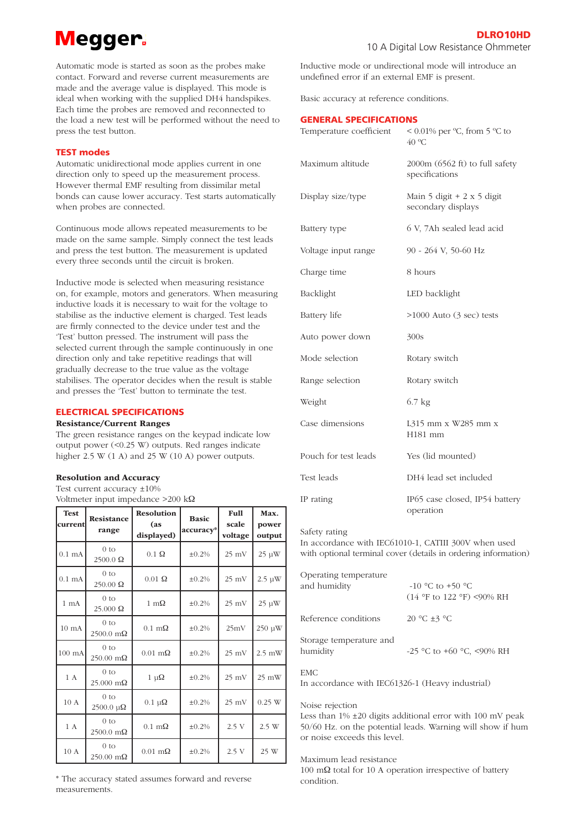## **Megger**

Automatic mode is started as soon as the probes make contact. Forward and reverse current measurements are made and the average value is displayed. This mode is ideal when working with the supplied DH4 handspikes. Each time the probes are removed and reconnected to the load a new test will be performed without the need to press the test button.

#### TEST modes

Automatic unidirectional mode applies current in one direction only to speed up the measurement process. However thermal EMF resulting from dissimilar metal bonds can cause lower accuracy. Test starts automatically when probes are connected.

Continuous mode allows repeated measurements to be made on the same sample. Simply connect the test leads and press the test button. The measurement is updated every three seconds until the circuit is broken.

Inductive mode is selected when measuring resistance on, for example, motors and generators. When measuring inductive loads it is necessary to wait for the voltage to stabilise as the inductive element is charged. Test leads are firmly connected to the device under test and the 'Test' button pressed. The instrument will pass the selected current through the sample continuously in one direction only and take repetitive readings that will gradually decrease to the true value as the voltage stabilises. The operator decides when the result is stable and presses the 'Test' button to terminate the test.

#### ELECTRICAL SPECIFICATIONS

#### Resistance/Current Ranges

The green resistance ranges on the keypad indicate low output power (<0.25 W) outputs. Red ranges indicate higher 2.5 W (1 A) and 25 W (10 A) power outputs.

#### Resolution and Accuracy

Test current accuracy ±10% Voltmeter input impedance >200 kΩ

| <b>Test</b><br>current | Resistance<br>range                    | <b>Resolution</b><br>(as<br>displayed) | <b>Basic</b><br>accuracy* | Full<br>scale<br>voltage | Max.<br>power<br>output |
|------------------------|----------------------------------------|----------------------------------------|---------------------------|--------------------------|-------------------------|
| $0.1 \text{ mA}$       | 0 <sub>to</sub><br>$2500.0 \Omega$     | $0.1\ \Omega$                          | $\pm 0.2\%$               | $25$ mV                  | $25 \mu W$              |
| $0.1 \text{ mA}$       | 0 <sub>to</sub><br>250.00 Ω            | $0.01\ \Omega$                         | ±0.2%                     | $25$ mV                  | $2.5 \mu W$             |
| $1 \text{ mA}$         | 0 <sub>to</sub><br>$25.000 \Omega$     | $1 \text{ m}\Omega$                    | $\pm 0.2\%$               | $25$ mV                  | $25 \mu W$              |
| $10 \text{ mA}$        | 0 <sub>to</sub><br>$2500.0$ m $\Omega$ | $0.1 \text{ m}\Omega$                  | ±0.2%                     | 25mV                     | 250 µW                  |
| $100 \text{ mA}$       | 0 <sub>to</sub><br>250.00 mΩ           | $0.01 \text{ m}\Omega$                 | ±0.2%                     | $25$ mV                  | $2.5$ mW                |
| 1 A                    | 0 <sub>to</sub><br>25.000 mΩ           | $1 \mu\Omega$                          | $\pm 0.2\%$               | $25$ mV                  | $25 \text{ mW}$         |
| 10A                    | 0 <sub>to</sub><br>$2500.0 \mu\Omega$  | $0.1 \mu\Omega$                        | ±0.2%                     | $25$ mV                  | $0.25$ W                |
| 1 A                    | 0 <sub>to</sub><br>2500.0 mΩ           | $0.1 \text{ m}\Omega$                  | ±0.2%                     | 2.5V                     | 2.5 W                   |
| $10\ \mathrm{A}$       | 0 <sub>to</sub><br>250.00 mΩ           | $0.01$ m $\Omega$                      | ±0.2%                     | 2.5V                     | 25 W                    |

Inductive mode or undirectional mode will introduce an undefined error if an external EMF is present.

Basic accuracy at reference conditions.

#### GENERAL SPECIFICATIONS

| Temperature coefficient | < $0.01\%$ per °C, from 5 °C to<br>40 °C             |  |  |
|-------------------------|------------------------------------------------------|--|--|
| Maximum altitude        | $2000m (6562 ft)$ to full safety<br>specifications   |  |  |
| Display size/type       | Main $5$ digit + 2 x $5$ digit<br>secondary displays |  |  |
| Battery type            | 6 V, 7Ah sealed lead acid                            |  |  |
| Voltage input range     | 90 - 264 V, 50-60 Hz                                 |  |  |
| Charge time             | 8 hours                                              |  |  |
| Backlight               | LED backlight                                        |  |  |
| <b>Battery</b> life     | $>1000$ Auto (3 sec) tests                           |  |  |
| Auto power down         | 300s                                                 |  |  |
| Mode selection          | Rotary switch                                        |  |  |
| Range selection         | Rotary switch                                        |  |  |
| Weight                  | $6.7$ kg                                             |  |  |
| Case dimensions         | L315 mm x W285 mm x<br>H181 mm                       |  |  |
| Pouch for test leads    | Yes (lid mounted)                                    |  |  |
| Test leads              | DH4 lead set included                                |  |  |
| IP rating               | IP65 case closed, IP54 battery<br>operation          |  |  |

#### Safety rating

In accordance with IEC61010-1, CATIII 300V when used with optional terminal cover (details in ordering information)

| Operating temperature<br>and humidity | $-10$ °C to $+50$ °C<br>$(14 \text{ °F}$ to $122 \text{ °F})$ <90% RH |
|---------------------------------------|-----------------------------------------------------------------------|
| Reference conditions                  | 20 °C $\pm$ 3 °C                                                      |
| Storage temperature and<br>humidity   | $-25$ °C to +60 °C, <90% RH                                           |

### EMC

In accordance with IEC61326-1 (Heavy industrial)

#### Noise rejection

Less than 1% ±20 digits additional error with 100 mV peak 50/60 Hz. on the potential leads. Warning will show if hum or noise exceeds this level.

#### Maximum lead resistance

100 mΩ total for 10 A operation irrespective of battery condition.